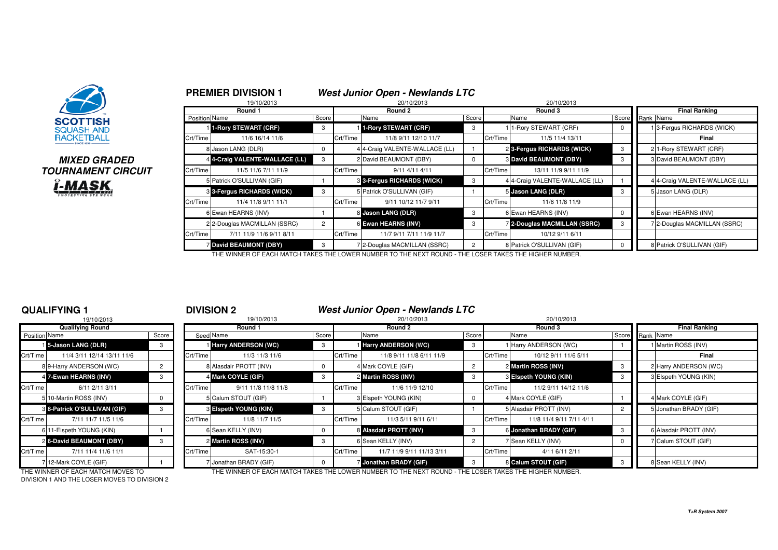

# **MIXED GRADEDTOURNAMENT CIRCUITi-MASK**

|          | 19/10/2013                     |                |          | 20/10/2013                                                                                             |                | 20/10/2013 |                                |       |           |                                |  |  |
|----------|--------------------------------|----------------|----------|--------------------------------------------------------------------------------------------------------|----------------|------------|--------------------------------|-------|-----------|--------------------------------|--|--|
|          | Round 1                        |                |          | Round 2                                                                                                |                |            | Round 3                        |       |           | <b>Final Ranking</b>           |  |  |
|          | Position Name                  | Score          |          | Name                                                                                                   | Score          |            | Name                           | Score | Rank Name |                                |  |  |
|          | 1-Rory STEWART (CRF)           | 3              |          | 1-Rory STEWART (CRF)                                                                                   | 3              |            | 1-Rory STEWART (CRF)           | 0     |           | 13-Fergus RICHARDS (WICK)      |  |  |
| Crt/Time | 11/6 16/14 11/6                |                | Crt/Time | 11/8 9/11 12/10 11/7                                                                                   |                | Crt/Time   | 11/5 11/4 13/11                |       |           | Final                          |  |  |
|          | 8 Jason LANG (DLR)             | 0              |          | 4 4-Craig VALENTE-WALLACE (LL)                                                                         |                |            | 2 3-Fergus RICHARDS (WICK)     | 3     |           | 2 1-Rory STEWART (CRF)         |  |  |
|          | 4 4-Craig VALENTE-WALLACE (LL) | 3              |          | 2 David BEAUMONT (DBY)                                                                                 | $\mathbf{0}$   |            | <b>3 David BEAUMONT (DBY)</b>  | 3     |           | 3 David BEAUMONT (DBY)         |  |  |
| Crt/Time | 11/5 11/6 7/11 11/9            |                | Crt/Time | 9/11 4/11 4/11                                                                                         |                | Crt/Time   | 13/11 11/9 9/11 11/9           |       |           |                                |  |  |
|          | 5 Patrick O'SULLIVAN (GIF)     |                |          | <b>8 3-Fergus RICHARDS (WICK)</b>                                                                      | 3              |            | 4 4-Craig VALENTE-WALLACE (LL) |       |           | 4 4-Craig VALENTE-WALLACE (LL) |  |  |
|          | 3 3-Fergus RICHARDS (WICK)     | 3              |          | 5 Patrick O'SULLIVAN (GIF)                                                                             |                |            | 5 Jason LANG (DLR)             | 3     |           | 5 Jason LANG (DLR)             |  |  |
| Crt/Time | 11/4 11/8 9/11 11/1            |                | Crt/Time | 9/11 10/12 11/7 9/11                                                                                   |                | Crt/Time   | 11/6 11/8 11/9                 |       |           |                                |  |  |
|          | 6 Ewan HEARNS (INV)            |                |          | 8 Jason LANG (DLR)                                                                                     | 3              |            | 6 Ewan HEARNS (INV)            | 0     |           | 6 Ewan HEARNS (INV)            |  |  |
|          | 2 2-Douglas MACMILLAN (SSRC)   | $\overline{2}$ |          | 6 Ewan HEARNS (INV)                                                                                    | 3              |            | 2-Douglas MACMILLAN (SSRC)     | 3     |           | 7 2-Douglas MACMILLAN (SSRC)   |  |  |
| Crt/Time | 7/11 11/9 11/6 9/11 8/11       |                | Crt/Time | 11/7 9/11 7/11 11/9 11/7                                                                               |                | Crt/Time   | 10/12 9/11 6/11                |       |           |                                |  |  |
|          | <b>David BEAUMONT (DBY)</b>    | 3              |          | 72-Douglas MACMILLAN (SSRC)                                                                            | $\overline{2}$ |            | 8 Patrick O'SULLIVAN (GIF)     | 0     |           | 8 Patrick O'SULLIVAN (GIF)     |  |  |
|          |                                |                |          | THE WINNER OF EACH MATCH TAKES THE LOWER NUMBER TO THE NEXT ROUND - THE LOSER TAKES THE HIGHER NUMBER. |                |            |                                |       |           |                                |  |  |

**PREMIER DIVISION 1 West Junior Open - Newlands LTC**

## **QUALIFYING 1**

|                      | 19/10/2013                   |       |          |
|----------------------|------------------------------|-------|----------|
|                      | <b>Qualifying Round</b>      |       |          |
| <b>Position Name</b> |                              | Score | Seed     |
|                      | 15-Jason LANG (DLR)          | 3     |          |
| Crt/Time             | 11/4 3/11 12/14 13/11 11/6   |       | Crt/Time |
|                      | 8 9-Harry ANDERSON (WC)      | 2     | 8        |
|                      | 4 7-Ewan HEARNS (INV)        | 3     | 4        |
| Crt/Time             | 6/11 2/11 3/11               |       | Crt/Time |
|                      | 5 10-Martin ROSS (INV)       | U     | 5        |
|                      | 8 8-Patrick O'SULLIVAN (GIF) | 3     | 3        |
| Crt/Time             | 7/11 11/7 11/5 11/6          |       | Crt/Time |
| 6                    | 11-Elspeth YOUNG (KIN)       |       | 6        |
|                      | 26-David BEAUMONT (DBY)      | 3     | 2        |
| Crt/Time             | 7/11 11/4 11/6 11/1          |       | Crt/Time |
|                      | 7 12-Mark COYLE (GIF)        |       | 7        |

## <sup>1</sup> **DIVISION 2 West Junior Open - Newlands LTC**

| -----------                            |       |           |                            |       |          |                             |       |          |                          |       |                        |
|----------------------------------------|-------|-----------|----------------------------|-------|----------|-----------------------------|-------|----------|--------------------------|-------|------------------------|
| 19/10/2013                             |       |           | 19/10/2013                 |       |          | 20/10/2013                  |       |          | 20/10/2013               |       |                        |
| <b>Qualifying Round</b>                |       |           | Round 1                    |       |          | Round 2                     |       |          | Round 3                  |       | <b>Final Ranking</b>   |
| Position Name                          | Score | Seed Name |                            | Score |          | Name                        | Score | Name     |                          | Score | Rank Name              |
| 15-Jason LANG (DLR)                    |       |           | <b>Harry ANDERSON (WC)</b> | - 3   |          | <b>Harry ANDERSON (WC)</b>  | 3     |          | I Harry ANDERSON (WC)    |       | Martin ROSS (INV)      |
| Crt/Time<br>11/4 3/11 12/14 13/11 11/6 |       | Crt/Time  | 11/3 11/3 11/6             |       | Crt/Time | 11/8 9/11 11/8 6/11 11/9    |       | Crt/Time | 10/12 9/11 11/6 5/11     |       | Final                  |
| 89-Harry ANDERSON (WC)                 |       |           | 8 Alasdair PROTT (INV)     |       |          | 4 Mark COYLE (GIF)          |       |          | 2 Martin ROSS (INV)      | - 3   | 2 Harry ANDERSON (WC)  |
| 4 7-Ewan HEARNS (INV)                  |       |           | 4 Mark COYLE (GIF)         |       |          | 2 Martin ROSS (INV)         | 3     |          | 3 Elspeth YOUNG (KIN)    |       | 3 Elspeth YOUNG (KIN)  |
| Crt/Time<br>6/11 2/11 3/11             |       | Crt/Time  | 9/11 11/8 11/8 11/8        |       | Crt/Time | 11/6 11/9 12/10             |       | Crt/Time | 11/2 9/11 14/12 11/6     |       |                        |
| 5 10-Martin ROSS (INV)                 |       |           | 5 Calum STOUT (GIF)        |       |          | 3 Elspeth YOUNG (KIN)       |       |          | 4 Mark COYLE (GIF)       |       | 4 Mark COYLE (GIF)     |
| 8 8-Patrick O'SULLIVAN (GIF)           |       |           | 3 Elspeth YOUNG (KIN)      |       |          | 5 Calum STOUT (GIF)         |       |          | 5 Alasdair PROTT (INV)   |       | 5 Jonathan BRADY (GIF) |
| Crt/Time<br>7/11 11/7 11/5 11/6        |       | Crt/Time  | 11/8 11/7 11/5             |       | Crt/Time | 11/3 5/11 9/11 6/11         |       | Crt/Time | 11/8 11/4 9/11 7/11 4/11 |       |                        |
| 6 11-Elspeth YOUNG (KIN)               |       |           | 6 Sean KELLY (INV)         |       |          | 8 Alasdair PROTT (INV)      |       |          | 6 Jonathan BRADY (GIF)   |       | 6 Alasdair PROTT (INV) |
| 2 6-David BEAUMONT (DBY)               |       |           | 2 Martin ROSS (INV)        | -3    |          | 6 Sean KELLY (INV)          |       |          | 7 Sean KELLY (INV)       |       | 7 Calum STOUT (GIF)    |
| Crt/Time<br>7/11 11/4 11/6 11/1        |       | Crt/Time  | SAT-15:30-1                |       | Crt/Time | 11/7 11/9 9/11 11/13 3/11   |       | Crt/Time | 4/11 6/11 2/11           |       |                        |
| 712-Mark COYLE (GIF)                   |       |           | 7 Jonathan BRADY (GIF)     |       |          | <b>Jonathan BRADY (GIF)</b> | -3    |          | 8 Calum STOUT (GIF)      |       | 8 Sean KELLY (INV)     |

DIVISION 1 AND THE LOSER MOVES TO DIVISION 2

THE WINNER OF EACH MATCH MOVES TO THE WINNER OF EACH MATCH TAKES THE LOWER NUMBER TO THE NEXT ROUND - THE LOSER TAKES THE HIGHER NUMBER.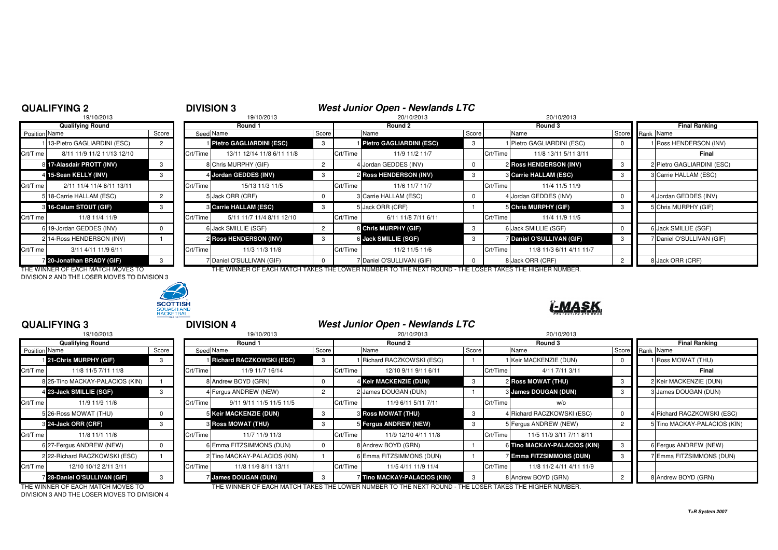## **QUALIFYING 2**

# **2 DIVISION 3 West Junior Open - Newlands LTC**<br>
<sup>19/10/2013</sup> <sup>20/10/2013</sup> <sup>20/10/2013</sup> <sup>20/10/2013</sup>

|               | 19/10/2013                  |       |          |
|---------------|-----------------------------|-------|----------|
|               | <b>Qualifying Round</b>     |       |          |
| Position Name |                             | Score | Seed     |
|               | 13-Pietro GAGLIARDINI (ESC) | 2     |          |
| Crt/Time      | 8/11 11/9 11/2 11/13 12/10  |       | Crt/Time |
|               | 8 17-Alasdair PROTT (INV)   | 3     | 8        |
|               | 4 15-Sean KELLY (INV)       | 3     | 4        |
| Crt/Time      | 2/11 11/4 11/4 8/11 13/11   |       | Crt/Time |
|               | 5 18-Carrie HALLAM (ESC)    | 2     | 5        |
| $\mathbf{3}$  | 16-Calum STOUT (GIF)        | 3     | 3        |
| Crt/Time      | 11/8 11/4 11/9              |       | Crt/Time |
|               | 6 19-Jordan GEDDES (INV)    | 0     | 6        |
|               | 2 14-Ross HENDERSON (INV)   |       | 2        |
| Crt/Time      | 3/11 4/11 11/9 6/11         |       | Crt/Time |
|               | 20-Jonathan BRADY (GIF)     | 3     | 7        |

| <b>Qualifying Round</b> |                              |       | Round 1  |                               |       |          | Round 2                    |       |          | Round 3                        |    | <b>Final Ranking</b>       |  |
|-------------------------|------------------------------|-------|----------|-------------------------------|-------|----------|----------------------------|-------|----------|--------------------------------|----|----------------------------|--|
| Position Name           |                              | Score |          | Seed Name                     | Score |          | Name                       | Score |          | Name                           |    | Score Rank Name            |  |
|                         | 113-Pietro GAGLIARDINI (ESC) |       |          | Pietro GAGLIARDINI (ESC)      | -3    |          | 1 Pietro GAGLIARDINI (ESC) | 3     |          | 1 Pietro GAGLIARDINI (ESC)     |    | 1 Ross HENDERSON (INV)     |  |
| Crt/Time                | 8/11 11/9 11/2 11/13 12/10   |       | Crt/Time | 13/11 12/14 11/8 6/11 11/8    |       | Crt/Time | 11/9 11/2 11/7             |       | Crt/Time | 11/8 13/11 5/11 3/11           |    | Final                      |  |
|                         | 8 17-Alasdair PROTT (INV)    |       |          | 8 Chris MURPHY (GIF)          |       |          | 4 Jordan GEDDES (INV)      |       |          | 2 Ross HENDERSON (INV)         | 3  | 2 Pietro GAGLIARDINI (ESC) |  |
|                         | 4 15-Sean KELLY (INV)        |       |          | 4 Jordan GEDDES (INV)         |       |          | 2 Ross HENDERSON (INV)     | -3    |          | <b>8 Carrie HALLAM (ESC)</b>   | -3 | 3 Carrie HALLAM (ESC)      |  |
| Crt/Time                | 2/11 11/4 11/4 8/11 13/11    |       | Crt/Time | 15/13 11/3 11/5               |       | Crt/Time | 11/6 11/7 11/7             |       | Crt/Time | 11/4 11/5 11/9                 |    |                            |  |
|                         | 5 18-Carrie HALLAM (ESC)     |       |          | 5 Jack ORR (CRF)              |       |          | 3 Carrie HALLAM (ESC)      |       |          | 4 Jordan GEDDES (INV)          |    | 4 Jordan GEDDES (INV)      |  |
|                         | 8 16-Calum STOUT (GIF)       |       |          | <b>8 Carrie HALLAM (ESC)</b>  |       |          | 5 Jack ORR (CRF)           |       |          | 5 Chris MURPHY (GIF)           |    | 5 Chris MURPHY (GIF)       |  |
| Crt/Time                | 11/8 11/4 11/9               |       | Crt/Time | 5/11 11/7 11/4 8/11 12/10     |       | Crt/Time | 6/11 11/8 7/11 6/11        |       | Crt/Time | 11/4 11/9 11/5                 |    |                            |  |
|                         | 6 19-Jordan GEDDES (INV)     |       |          | 6 Jack SMILLIE (SGF)          |       |          | 8 Chris MURPHY (GIF)       | - 3   |          | 6 Jack SMILLIE (SGF)           |    | 6 Jack SMILLIE (SGF)       |  |
|                         | 2 14-Ross HENDERSON (INV)    |       |          | <b>2 Ross HENDERSON (INV)</b> |       |          | 6 Jack SMILLIE (SGF)       |       |          | <b>Daniel O'SULLIVAN (GIF)</b> |    | 7 Daniel O'SULLIVAN (GIF)  |  |
| Crt/Time                | 3/11 4/11 11/9 6/11          |       | Crt/Time | 11/3 11/3 11/8                |       | Crt/Time | 11/2 11/5 11/6             |       | Crt/Time | 11/8 11/3 6/11 4/11 11/7       |    |                            |  |
|                         | 20-Jonathan BRADY (GIF)      |       |          | 7 Daniel O'SULLIVAN (GIF)     |       |          | 7 Daniel O'SULLIVAN (GIF)  |       |          | 8 Jack ORR (CRF)               |    | 8 Jack ORR (CRF)           |  |

ĭ-MAS

DIVISION 2 AND THE LOSER MOVES TO DIVISION 3



## THE WINNER OF EACH MATCH MOVES TO THE WINNER OF EACH MATCH TAKES THE LOWER NUMBER TO THE NEXT ROUND - THE LOSER TAKES THE HIGHER NUMBER.

|               | <b>QUALIFYING 3</b>               | <b>DIVISION 4</b> |          |                                   | <b>West Junior Open - Newlands LTC</b> |          |                                                                                                        |       |          |                               |                |                              |
|---------------|-----------------------------------|-------------------|----------|-----------------------------------|----------------------------------------|----------|--------------------------------------------------------------------------------------------------------|-------|----------|-------------------------------|----------------|------------------------------|
|               | 19/10/2013                        |                   |          | 19/10/2013                        |                                        |          | 20/10/2013                                                                                             |       |          | 20/10/2013                    |                |                              |
|               | <b>Qualifying Round</b>           |                   |          | Round 1                           |                                        |          | Round 2                                                                                                |       |          | Round 3                       |                | <b>Final Ranking</b>         |
| Position Name |                                   | Score             |          | Seed Name                         | Score                                  |          | Name                                                                                                   | Score |          | Name                          | Score          | Rank Name                    |
|               | 121-Chris MURPHY (GIF)            | 3                 |          | <b>I Richard RACZKOWSKI (ESC)</b> | 3                                      |          | 1 Richard RACZKOWSKI (ESC)                                                                             |       |          | 1 Keir MACKENZIE (DUN)        |                | 1 Ross MOWAT (THU)           |
| Crt/Time      | 11/8 11/5 7/11 11/8               |                   | Crt/Time | 11/9 11/7 16/14                   |                                        | Crt/Time | 12/10 9/11 9/11 6/11                                                                                   |       | Crt/Time | 4/11 7/11 3/11                |                | Final                        |
|               | 8 25-Tino MACKAY-PALACIOS (KIN)   |                   |          | 8 Andrew BOYD (GRN)               | 0                                      |          | 4 Keir MACKENZIE (DUN)                                                                                 | 3     |          | <b>2 Ross MOWAT (THU)</b>     | 3              | 2 Keir MACKENZIE (DUN)       |
|               | 4 23-Jack SMILLIE (SGF)           |                   |          | 4 Fergus ANDREW (NEW)             | $\overline{2}$                         |          | 2 James DOUGAN (DUN)                                                                                   |       |          | 3 James DOUGAN (DUN)          | 3              | 3 James DOUGAN (DUN)         |
| Crt/Time      | 11/9 11/9 11/6                    |                   | Crt/Time | 9/11 9/11 11/5 11/5 11/5          |                                        | Crt/Time | 11/9 6/11 5/11 7/11                                                                                    |       | Crt/Time | w/o                           |                |                              |
|               | 5 26-Ross MOWAT (THU)             | 0                 |          | 5 Keir MACKENZIE (DUN)            | 3                                      |          | <b>3 Ross MOWAT (THU)</b>                                                                              | 3     |          | 4 Richard RACZKOWSKI (ESC)    |                | 4 Richard RACZKOWSKI (ESC)   |
|               | 3 24-Jack ORR (CRF)               | 3                 |          | <b>3 Ross MOWAT (THU)</b>         | 3                                      |          | 5 Fergus ANDREW (NEW)                                                                                  | 3     |          | 5 Fergus ANDREW (NEW)         | $\overline{2}$ | 5 Tino MACKAY-PALACIOS (KIN) |
| Crt/Time      | 11/8 11/1 11/6                    |                   | Crt/Time | 11/7 11/9 11/3                    |                                        | Crt/Time | 11/9 12/10 4/11 11/8                                                                                   |       | Crt/Time | 11/5 11/9 3/11 7/11 8/11      |                |                              |
|               | 6 27-Fergus ANDREW (NEW)          | $\Omega$          |          | 6 Emma FITZSIMMONS (DUN)          | $^{\circ}$                             |          | 8 Andrew BOYD (GRN)                                                                                    |       |          | 6 Tino MACKAY-PALACIOS (KIN)  | 3              | 6 Fergus ANDREW (NEW)        |
|               | 2 22-Richard RACZKOWSKI (ESC)     |                   |          | 2 Tino MACKAY-PALACIOS (KIN)      |                                        |          | 6 Emma FITZSIMMONS (DUN)                                                                               |       |          | <b>Emma FITZSIMMONS (DUN)</b> | 3              | 7 Emma FITZSIMMONS (DUN)     |
| Crt/Time      | 12/10 10/12 2/11 3/11             |                   | Crt/Time | 11/8 11/9 8/11 13/11              |                                        | Crt/Time | 11/5 4/11 11/9 11/4                                                                                    |       | Crt/Time | 11/8 11/2 4/11 4/11 11/9      |                |                              |
|               | 28-Daniel O'SULLIVAN (GIF)        | $\mathcal{B}$     |          | James DOUGAN (DUN)                | -3                                     |          | Tino MACKAY-PALACIOS (KIN)                                                                             | -3    |          | 8 Andrew BOYD (GRN)           | $\overline{2}$ | 8 Andrew BOYD (GRN)          |
|               | THE WINNER OF EACH MATCH MOVES TO |                   |          |                                   |                                        |          | THE WINNER OF EACH MATCH TAKES THE LOWER NUMBER TO THE NEXT ROUND - THE LOSER TAKES THE HIGHER NUMBER. |       |          |                               |                |                              |

DIVISION 3 AND THE LOSER MOVES TO DIVISION 4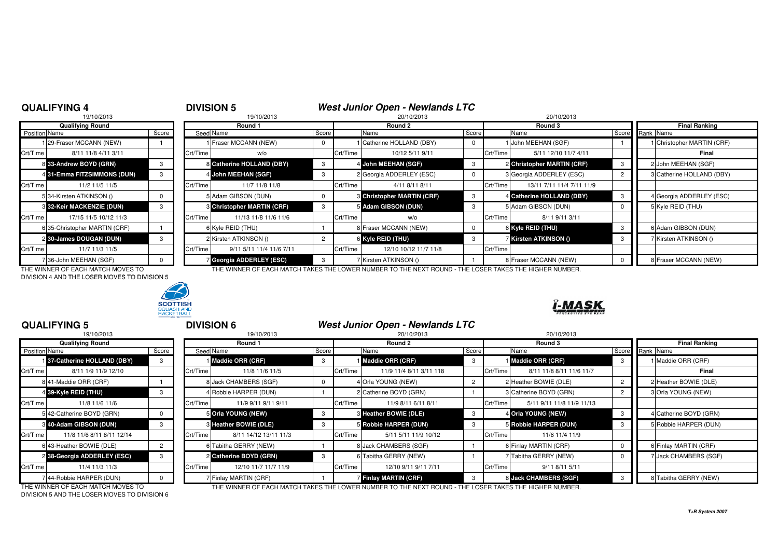## **QUALIFYING 4**

# <sup>4</sup> **DIVISION 5 West Junior Open - Newlands LTC**

|                      | 19/10/2013                       |       |                |
|----------------------|----------------------------------|-------|----------------|
|                      | <b>Qualifying Round</b>          |       |                |
| <b>Position Name</b> |                                  | Score | Seed           |
|                      | 1 29-Fraser MCCANN (NEW)         |       |                |
| Crt/Time             | 8/11 11/8 4/11 3/11              |       | Crt/Time       |
|                      | 8 33-Andrew BOYD (GRN)           | 3     | 8              |
|                      | 4 31-Emma FITZSIMMONS (DUN)      | 3     | 4              |
| Crt/Time             | 11/2 11/5 11/5                   |       | Crt/Time       |
|                      | 534-Kirsten ATKINSON ()          | 0     | 5              |
|                      | <b>8 32-Keir MACKENZIE (DUN)</b> | 3     | 3              |
| Crt/Time             | 17/15 11/5 10/12 11/3            |       | Crt/Time       |
|                      | 6135-Christopher MARTIN (CRF)    |       | 6              |
|                      | 2 30-James DOUGAN (DUN)          | 3     | $\overline{2}$ |
| Crt/Time             | 11/7 11/3 11/5                   |       | Crt/Time       |
|                      | 7 36-John MEEHAN (SGF)           | o     | 7              |

|               | 19/10/2013                    |       |          | 19/10/2013<br>20/10/2013          |       |          |                                   | 20/10/2013 |          |                            |       |           |                            |
|---------------|-------------------------------|-------|----------|-----------------------------------|-------|----------|-----------------------------------|------------|----------|----------------------------|-------|-----------|----------------------------|
|               | <b>Qualifying Round</b>       |       |          | Round 1                           |       |          | Round 2                           |            |          | Round 3                    |       |           | <b>Final Ranking</b>       |
| Position Name |                               | Score |          | Seed Name                         | Score |          | Name                              | Score      |          | Name                       | Score | Rank Name |                            |
|               | 129-Fraser MCCANN (NEW)       |       |          | Fraser MCCANN (NEW)               | 0     |          | Catherine HOLLAND (DBY)           |            |          | 1 John MEEHAN (SGF)        |       |           | 1 Christopher MARTIN (CRF) |
| Crt/Time      | 8/11 11/8 4/11 3/11           |       | Crt/Time | w/o                               |       | Crt/Time | 10/12 5/11 9/11                   |            | Crt/Time | 5/11 12/10 11/7 4/11       |       |           | Final                      |
|               | 8 33-Andrew BOYD (GRN)        |       |          | 8 Catherine HOLLAND (DBY)         | -3    |          | 4 John MEEHAN (SGF)               |            |          | 2 Christopher MARTIN (CRF) |       |           | 2 John MEEHAN (SGF)        |
|               | 4 31-Emma FITZSIMMONS (DUN)   |       |          | 4 John MEEHAN (SGF)               | -3    |          | 2 Georgia ADDERLEY (ESC)          |            |          | 3 Georgia ADDERLEY (ESC)   |       |           | 3 Catherine HOLLAND (DBY)  |
| Crt/Time      | 11/2 11/5 11/5                |       | Crt/Time | 11/7 11/8 11/8                    |       | Crt/Time | 4/11 8/11 8/11                    |            | Crt/Time | 13/11 7/11 11/4 7/11 11/9  |       |           |                            |
|               | 534-Kirsten ATKINSON ()       |       |          | 5 Adam GIBSON (DUN)               |       |          | <b>6 Christopher MARTIN (CRF)</b> |            |          | 4 Catherine HOLLAND (DBY)  |       |           | 4 Georgia ADDERLEY (ESC)   |
|               | 3 32-Keir MACKENZIE (DUN)     |       |          | <b>3 Christopher MARTIN (CRF)</b> |       |          | 5 Adam GIBSON (DUN)               |            |          | 5 Adam GIBSON (DUN)        |       |           | 5 Kyle REID (THU)          |
| Crt/Time      | 17/15 11/5 10/12 11/3         |       | Crt/Time | 11/13 11/8 11/6 11/6              |       | Crt/Time | w/o                               |            | Crt/Time | 8/11 9/11 3/11             |       |           |                            |
|               | 6 35-Christopher MARTIN (CRF) |       |          | 6 Kyle REID (THU)                 |       |          | 8 Fraser MCCANN (NEW)             |            |          | 6 Kyle REID (THU)          | - 3   |           | 6 Adam GIBSON (DUN)        |
|               | 2 30-James DOUGAN (DUN)       |       |          | 2 Kirsten ATKINSON ()             | 2     |          | 6 Kyle REID (THU)                 |            |          | 7 Kirsten ATKINSON ()      |       |           | 7 Kirsten ATKINSON ()      |
| Crt/Time      | 11/7 11/3 11/5                |       | Crt/Time | 9/11 5/11 11/4 11/6 7/11          |       | Crt/Time | 12/10 10/12 11/7 11/8             |            | Crt/Time |                            |       |           |                            |
|               | 736-John MEEHAN (SGF)         |       |          | Georgia ADDERLEY (ESC)            | -3    |          | 7 Kirsten ATKINSON ()             |            |          | 8 Fraser MCCANN (NEW)      |       |           | 8 Fraser MCCANN (NEW)      |

-MASK

DIVISION 4 AND THE LOSER MOVES TO DIVISION 5



## THE WINNER OF EACH MATCH MOVES TO THE WINNER OF EACH MATCH TAKES THE LOWER NUMBER TO THE NEXT ROUND - THE LOSER TAKES THE HIGHER NUMBER.

### **QUALIFYING 5** <sup>5</sup> **DIVISION 6 West Junior Open - Newlands LTC**19/10/20133 20/10/2013 20/10/2013 20:00 19/10/2013 20:00 20:00 20:00 20:00 20:00 20:00 20:00 20:00 20:00 20:00 20:00 20:0 **Qualifying Round Round 1 Round 2 Round 3 Final Ranking Position** Name n|Name Score Seed Name Score IScore IScore ISCOVE ISCORE Rank Name 1 37-Catherine HOLLAND (DBY) **37-Catherine HOLLAND (DBY)** <sup>3</sup> <sup>1</sup> **Maddie ORR (CRF)** <sup>3</sup> <sup>1</sup> **Maddie ORR (CRF)** <sup>3</sup> <sup>1</sup> **Maddie ORR (CRF)** <sup>3</sup> <sup>1</sup> Maddie ORR (CRF) Crt/Time 8/11 1/9 11/9 12/10 Crt/Time 11/8 11/6 11/5 Crt/Time 11/9 11/4 8/11 3/11 118 Crt/Time 8/11 11/8 8/11 11/6 11/7**Final** 8|41-Maddie ORR (CRF) | 1 | | 8|Jack CHAMBERS (SGF) | 0 | 4|Orla YOUNG (NEW) | 2 | 2|Heather BOWIE (DUMI) | 2 | 2|Heather BOWIE (DLE) 4 39-Kyle REID (THU) **4 89-Kyle REID (THU)** 3 4 Robbie HARPER (DUN) 1 2 Catherine BOYD (GRN) 1 3 Catherine BOYD (GRN) 2 3 Orla YOUNG (NEW) Crt/Time | 11/8 11/6 11/6 | Crt/Time | 11/9 9/11 9/11 | Crt/Time | 11/9 8/11 6/11 8/11 | Crt/Time | 5/11 9/11 11/8 11/9 11/13 5 42-Catherine BOYD (GRN) 0 5**S** Orla YOUNG (NEW) 3 3 3 3 3 Heather BOWIE (DLE) 3 4 Orla YOUNG (NEW) 3 4 Catherine BOYD (GRN) 3 **40-Adam GIBSON (DUN)** <sup>3</sup> <sup>3</sup> **Heather BOWIE (DLE)** <sup>3</sup> <sup>5</sup> **Robbie HARPER (DUN)** <sup>3</sup> <sup>5</sup> **Robbie HARPER (DUN)** <sup>3</sup> <sup>5</sup> Robbie HARPER (DUN) Crt/Time 11/8 11/6 8/11 8/11 12/14 Crt/Time 8/11 14/12 13/11 11/3 Crt/Time 5/11 5/11 11/9 10/12 Crt/Time 11/6 11/4 11/96|43-Heather BOWIE (DLE) | 2 | | 6|Tabitha GERRY (NEW) | 1 | 8|Jack CHAMBERS (SGF) | 1 | 6|Finlay MARTIN (CRF) | 0 || 6|Finlay MARTIN (CRF) 2 38-Georgia ADDERLEY (ESC) **38-Georgia ADDERLEY (ESC)** <sup>3</sup> <sup>2</sup> **Catherine BOYD (GRN)** <sup>3</sup> <sup>6</sup> Tabitha GERRY (NEW) <sup>1</sup> <sup>7</sup> Tabitha GERRY (NEW) <sup>0</sup> <sup>7</sup> Jack CHAMBERS (SGF) Crt/Time | 11/4 11/3 11/3 | Crt/Time | 12/10 11/7 11/7 11/9 | Crt/Time | 12/10 9/11 9/11 7/11 | Crt/Time | 9/11 8/11 5/11 7 44-Robbie HARPER (DUN)  $\begin{vmatrix} 0 & 1 \end{vmatrix}$  7 Finlay MARTIN (CRF) 1 7 Finlay MARTIN (CRF) **Final Martin Concernsive CHAMBERS (SGF)** 3 8 Tabitha GERRY (NEW) THE WINNER OF EACH MATCH MOVES TO THE WINNER OF EACH MATCH TAKES THE LOWER NUMBER TO THE NEXT ROUND - THE LOSER TAKES THE HIGHER NUMBER.

DIVISION 5 AND THE LOSER MOVES TO DIVISION 6